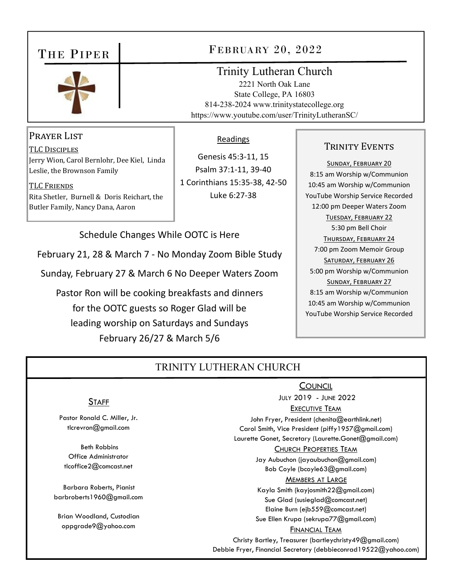## THE PIPER



## FEBRUARY 20, 2022

## Trinity Lutheran Church

2221 North Oak Lane State College, PA 16803 814-238-2024 www.trinitystatecollege.org https://www.youtube.com/user/TrinityLutheranSC/

### PRAYER LIST

TLC DISCIPLES Jerry Wion, Carol Bernlohr, Dee Kiel, Linda Leslie, the Brownson Family

TLC FRIENDS Rita Shetler, Burnell & Doris Reichart, the Butler Family, Nancy Dana, Aaron

#### Readings

Genesis 45:3‐11, 15 Psalm 37:1‐11, 39‐40 1 Corinthians 15:35‐38, 42‐50 Luke 6:27‐38

#### Schedule Changes While OOTC is Here

February 21, 28 & March 7 ‐ No Monday Zoom Bible Study

Sunday, February 27 & March 6 No Deeper Waters Zoom

Pastor Ron will be cooking breakfasts and dinners for the OOTC guests so Roger Glad will be leading worship on Saturdays and Sundays February 26/27 & March 5/6

#### TRINITY EVENTS

SUNDAY, FEBRUARY 20 8:15 am Worship w/Communion 10:45 am Worship w/Communion YouTube Worship Service Recorded 12:00 pm Deeper Waters Zoom TUESDAY, FEBRUARY 22 5:30 pm Bell Choir THURSDAY, FEBRUARY 24 7:00 pm Zoom Memoir Group SATURDAY, FEBRUARY 26 5:00 pm Worship w/Communion SUNDAY, FEBRUARY 27 8:15 am Worship w/Communion 10:45 am Worship w/Communion YouTube Worship Service Recorded

## TRINITY LUTHERAN CHURCH

#### **STAFF**

Pastor Ronald C. Miller, Jr. tlcrevron@gmail.com

 Beth Robbins Office Administrator tlcoffice2@comcast.net

Barbara Roberts, Pianist barbroberts1960@gmail.com

Brian Woodland, Custodian oppgrade9@yahoo.com

 JULY 2019 - JUNE 2022 EXECUTIVE TEAM John Fryer, President (chenita@earthlink.net) Carol Smith, Vice President (piffy1957@gmail.com) Laurette Gonet, Secretary (Laurette.Gonet@gmail.com) CHURCH PROPERTIES TEAM Jay Aubuchon (jayaubuchon@gmail.com) Bob Coyle (bcoyle63@gmail.com) MEMBERS AT LARGE Kayla Smith (kayjosmith22@gmail.com) Sue Glad (susieglad@comcast.net) Elaine Burn (ejb559@comcast.net) Sue Ellen Krupa (sekrupa77@gmail.com) FINANCIAL TEAM Christy Bartley, Treasurer (bartleychristy49@gmail.com) Debbie Fryer, Financial Secretary (debbieconrad19522@yahoo.com)

**COUNCIL**